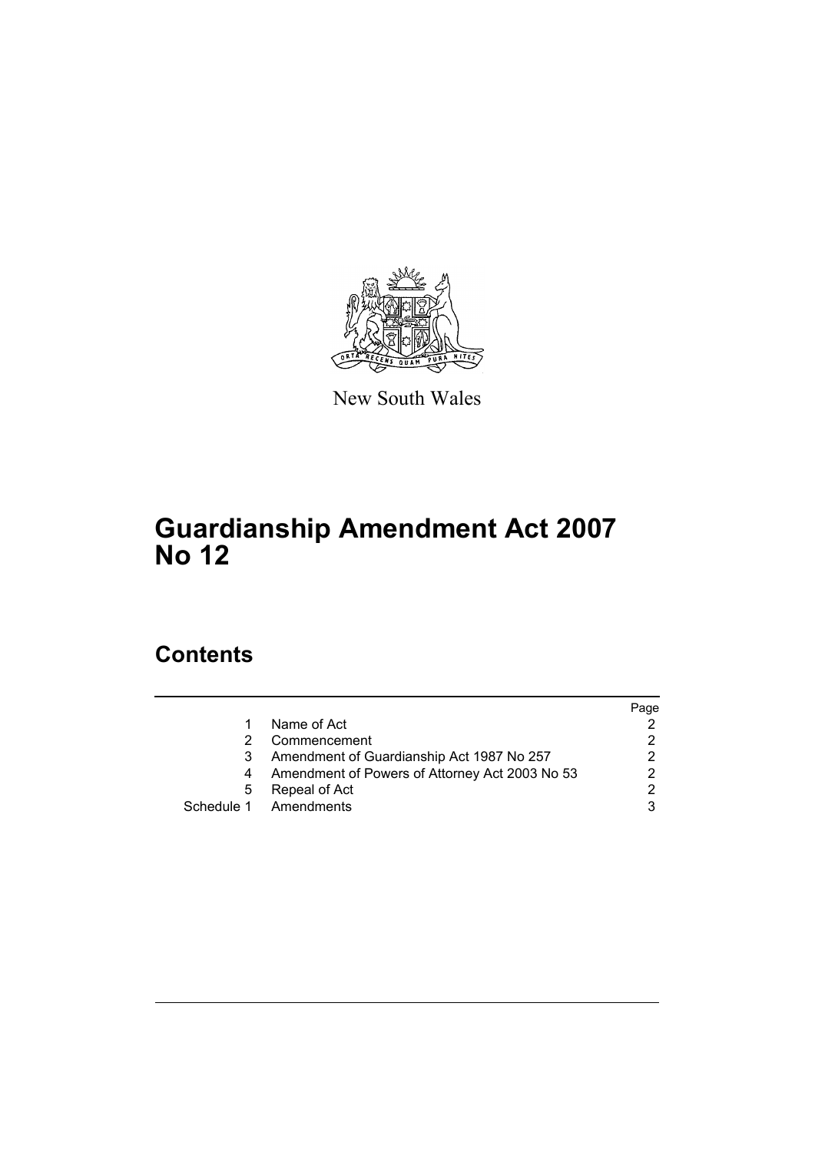

New South Wales

# **Guardianship Amendment Act 2007 No 12**

# **Contents**

|   |                                                | Page |
|---|------------------------------------------------|------|
|   | Name of Act                                    |      |
|   | Commencement                                   |      |
|   | Amendment of Guardianship Act 1987 No 257      |      |
|   | Amendment of Powers of Attorney Act 2003 No 53 |      |
| 5 | Repeal of Act                                  | ົ    |
|   | Schedule 1 Amendments                          |      |
|   |                                                |      |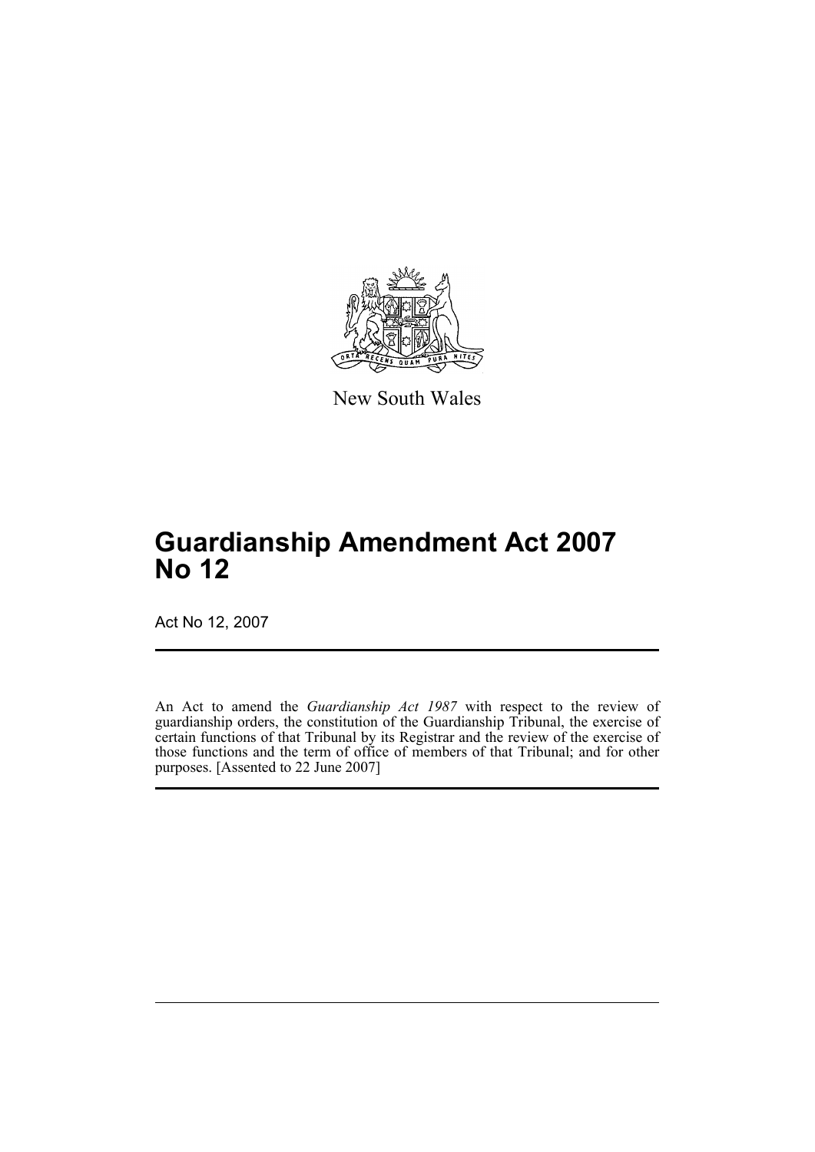

New South Wales

# **Guardianship Amendment Act 2007 No 12**

Act No 12, 2007

An Act to amend the *Guardianship Act 1987* with respect to the review of guardianship orders, the constitution of the Guardianship Tribunal, the exercise of certain functions of that Tribunal by its Registrar and the review of the exercise of those functions and the term of office of members of that Tribunal; and for other purposes. [Assented to 22 June 2007]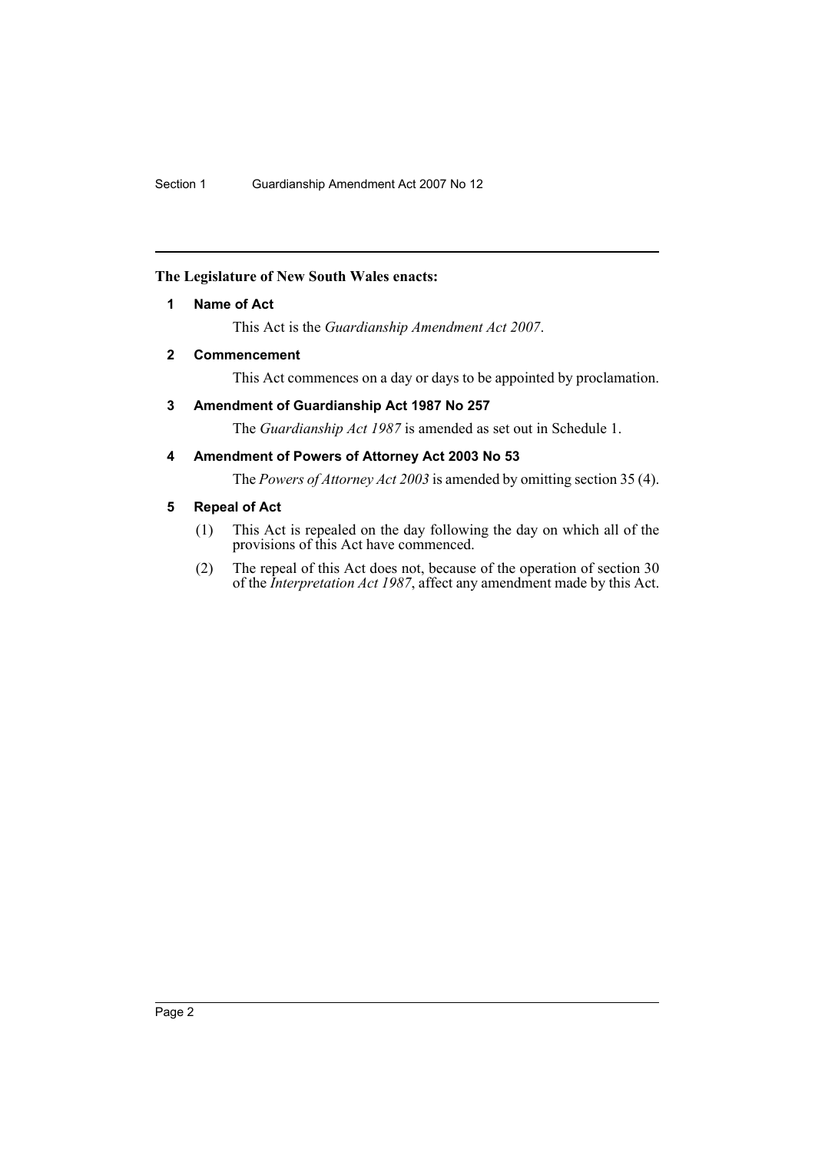# <span id="page-2-0"></span>**The Legislature of New South Wales enacts:**

# **1 Name of Act**

This Act is the *Guardianship Amendment Act 2007*.

# <span id="page-2-1"></span>**2 Commencement**

This Act commences on a day or days to be appointed by proclamation.

# <span id="page-2-2"></span>**3 Amendment of Guardianship Act 1987 No 257**

The *Guardianship Act 1987* is amended as set out in Schedule 1.

# <span id="page-2-3"></span>**4 Amendment of Powers of Attorney Act 2003 No 53**

The *Powers of Attorney Act 2003* is amended by omitting section 35 (4).

# <span id="page-2-4"></span>**5 Repeal of Act**

- (1) This Act is repealed on the day following the day on which all of the provisions of this Act have commenced.
- (2) The repeal of this Act does not, because of the operation of section 30 of the *Interpretation Act 1987*, affect any amendment made by this Act.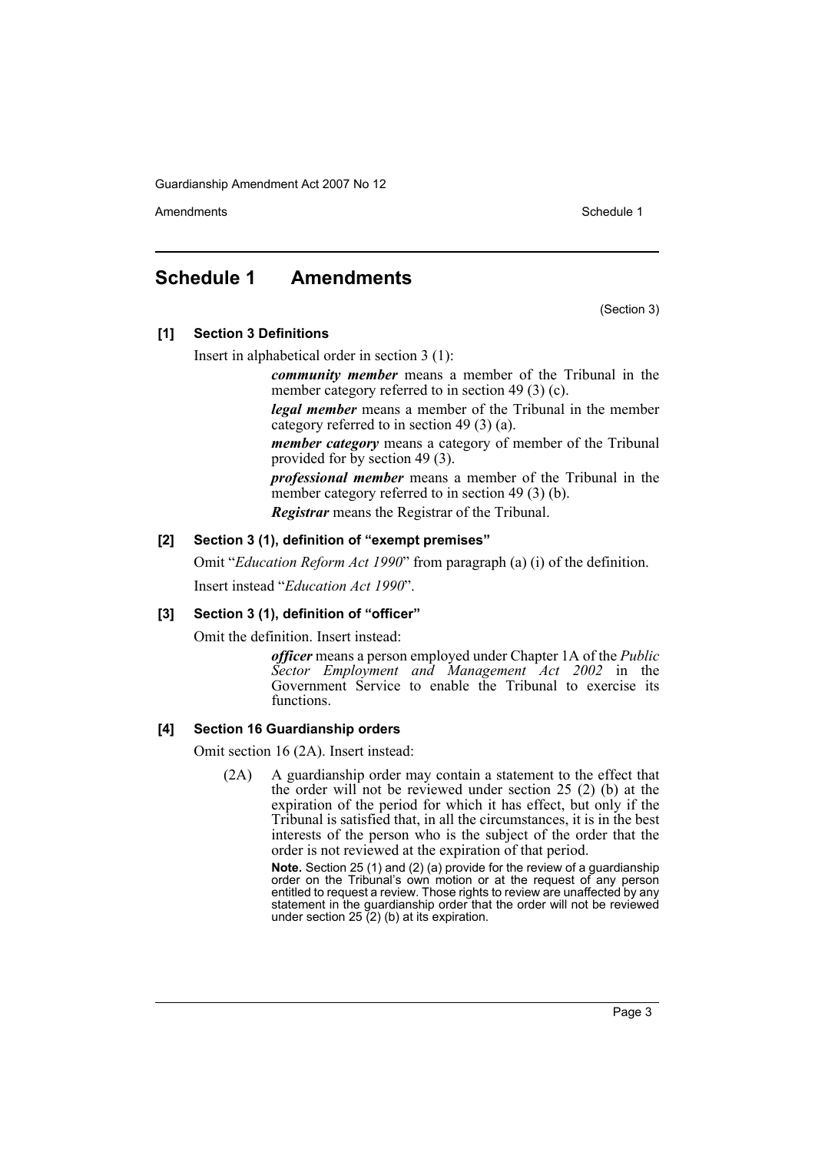Amendments **Amendments** Schedule 1

# <span id="page-3-0"></span>**Schedule 1 Amendments**

(Section 3)

**[1] Section 3 Definitions**

Insert in alphabetical order in section 3 (1):

*community member* means a member of the Tribunal in the member category referred to in section 49 (3) (c).

*legal member* means a member of the Tribunal in the member category referred to in section 49 (3) (a).

*member category* means a category of member of the Tribunal provided for by section 49 (3).

*professional member* means a member of the Tribunal in the member category referred to in section 49 (3) (b).

*Registrar* means the Registrar of the Tribunal.

# **[2] Section 3 (1), definition of "exempt premises"**

Omit "*Education Reform Act 1990*" from paragraph (a) (i) of the definition.

Insert instead "*Education Act 1990*".

# **[3] Section 3 (1), definition of "officer"**

Omit the definition. Insert instead:

*officer* means a person employed under Chapter 1A of the *Public Sector Employment and Management Act 2002* in the Government Service to enable the Tribunal to exercise its functions.

# **[4] Section 16 Guardianship orders**

Omit section 16 (2A). Insert instead:

(2A) A guardianship order may contain a statement to the effect that the order will not be reviewed under section 25 (2) (b) at the expiration of the period for which it has effect, but only if the Tribunal is satisfied that, in all the circumstances, it is in the best interests of the person who is the subject of the order that the order is not reviewed at the expiration of that period.

> **Note.** Section 25 (1) and (2) (a) provide for the review of a guardianship order on the Tribunal's own motion or at the request of any person entitled to request a review. Those rights to review are unaffected by any statement in the guardianship order that the order will not be reviewed under section  $25(2)$  (b) at its expiration.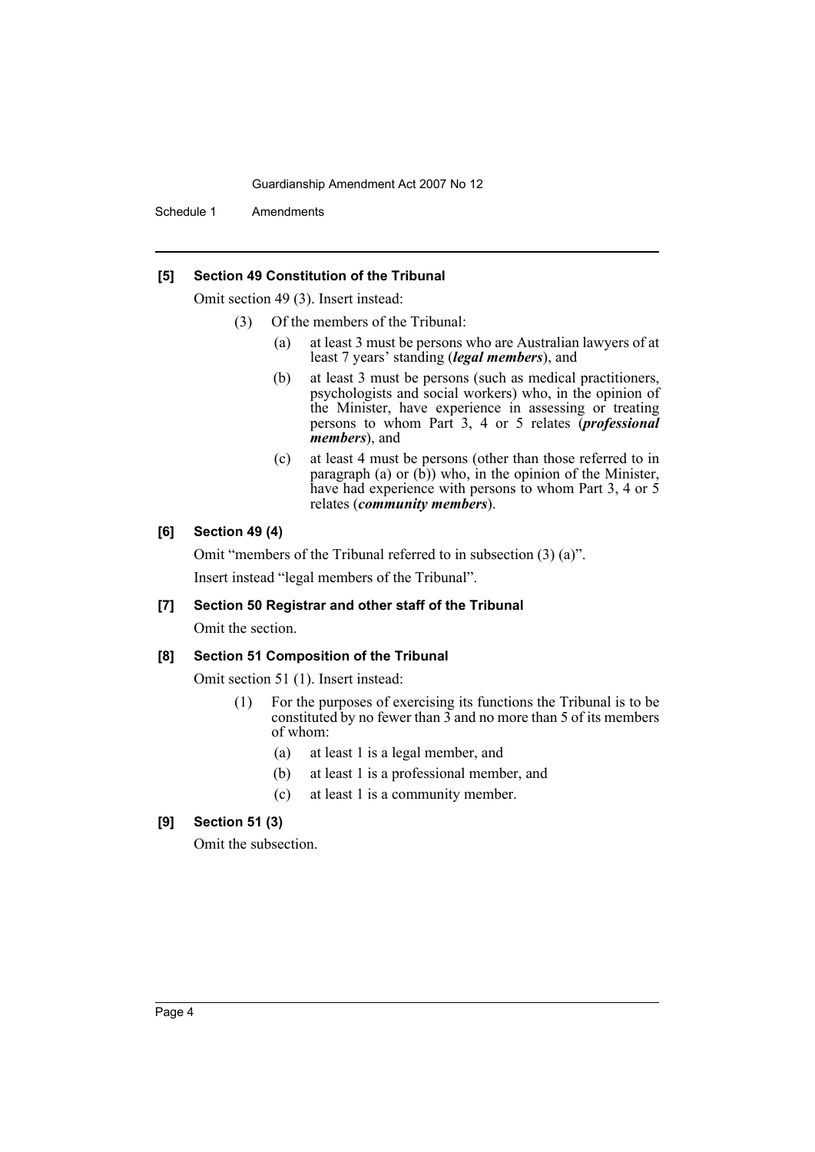Schedule 1 Amendments

#### **[5] Section 49 Constitution of the Tribunal**

Omit section 49 (3). Insert instead:

- (3) Of the members of the Tribunal:
	- (a) at least 3 must be persons who are Australian lawyers of at least 7 years' standing (*legal members*), and
	- (b) at least 3 must be persons (such as medical practitioners, psychologists and social workers) who, in the opinion of the Minister, have experience in assessing or treating persons to whom Part 3, 4 or 5 relates (*professional members*), and
	- (c) at least 4 must be persons (other than those referred to in paragraph (a) or  $(b)$ ) who, in the opinion of the Minister, have had experience with persons to whom Part 3, 4 or 5 relates (*community members*).

# **[6] Section 49 (4)**

Omit "members of the Tribunal referred to in subsection (3) (a)". Insert instead "legal members of the Tribunal".

# **[7] Section 50 Registrar and other staff of the Tribunal**

Omit the section.

#### **[8] Section 51 Composition of the Tribunal**

Omit section 51 (1). Insert instead:

- (1) For the purposes of exercising its functions the Tribunal is to be constituted by no fewer than 3 and no more than 5 of its members of whom:
	- (a) at least 1 is a legal member, and
	- (b) at least 1 is a professional member, and
	- (c) at least 1 is a community member.

# **[9] Section 51 (3)**

Omit the subsection.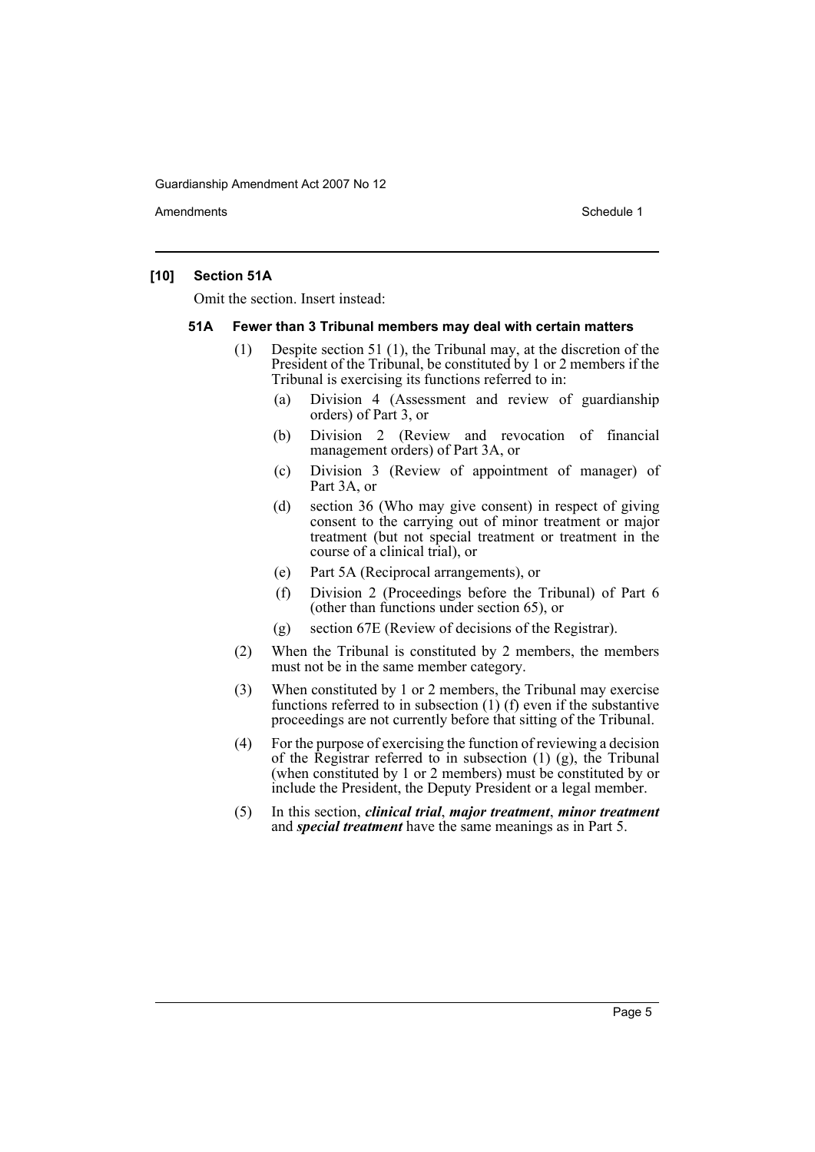Amendments **Amendments** Schedule 1

# **[10] Section 51A**

Omit the section. Insert instead:

#### **51A Fewer than 3 Tribunal members may deal with certain matters**

- (1) Despite section 51 (1), the Tribunal may, at the discretion of the President of the Tribunal, be constituted by 1 or 2 members if the Tribunal is exercising its functions referred to in:
	- (a) Division 4 (Assessment and review of guardianship orders) of Part 3, or
	- (b) Division 2 (Review and revocation of financial management orders) of Part 3A, or
	- (c) Division 3 (Review of appointment of manager) of Part 3A, or
	- (d) section 36 (Who may give consent) in respect of giving consent to the carrying out of minor treatment or major treatment (but not special treatment or treatment in the course of a clinical trial), or
	- (e) Part 5A (Reciprocal arrangements), or
	- (f) Division 2 (Proceedings before the Tribunal) of Part 6 (other than functions under section 65), or
	- (g) section 67E (Review of decisions of the Registrar).
- (2) When the Tribunal is constituted by 2 members, the members must not be in the same member category.
- (3) When constituted by 1 or 2 members, the Tribunal may exercise functions referred to in subsection (1) (f) even if the substantive proceedings are not currently before that sitting of the Tribunal.
- (4) For the purpose of exercising the function of reviewing a decision of the Registrar referred to in subsection  $(1)$   $(g)$ , the Tribunal (when constituted by 1 or 2 members) must be constituted by or include the President, the Deputy President or a legal member.
- (5) In this section, *clinical trial*, *major treatment*, *minor treatment* and *special treatment* have the same meanings as in Part 5.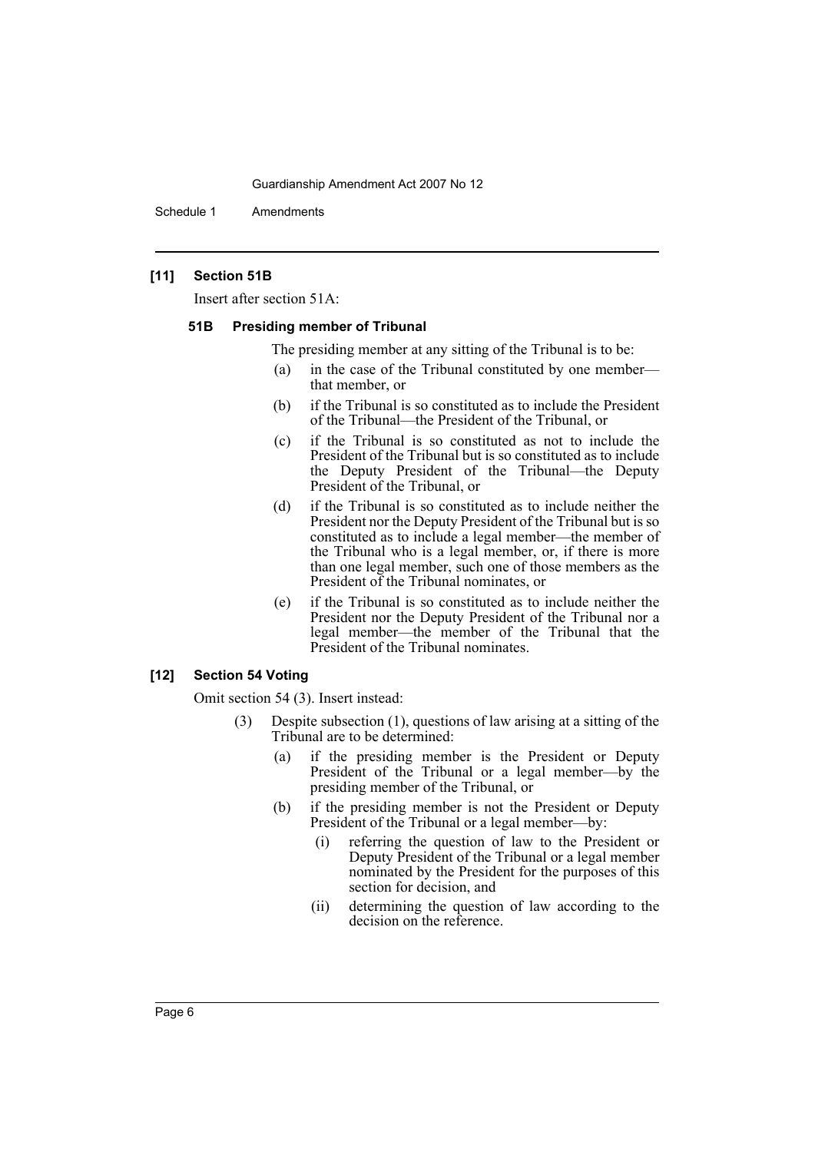Schedule 1 Amendments

# **[11] Section 51B**

Insert after section 51A:

#### **51B Presiding member of Tribunal**

The presiding member at any sitting of the Tribunal is to be:

- (a) in the case of the Tribunal constituted by one member that member, or
- (b) if the Tribunal is so constituted as to include the President of the Tribunal—the President of the Tribunal, or
- (c) if the Tribunal is so constituted as not to include the President of the Tribunal but is so constituted as to include the Deputy President of the Tribunal—the Deputy President of the Tribunal, or
- (d) if the Tribunal is so constituted as to include neither the President nor the Deputy President of the Tribunal but is so constituted as to include a legal member—the member of the Tribunal who is a legal member, or, if there is more than one legal member, such one of those members as the President of the Tribunal nominates, or
- (e) if the Tribunal is so constituted as to include neither the President nor the Deputy President of the Tribunal nor a legal member—the member of the Tribunal that the President of the Tribunal nominates.

#### **[12] Section 54 Voting**

Omit section 54 (3). Insert instead:

- (3) Despite subsection (1), questions of law arising at a sitting of the Tribunal are to be determined:
	- (a) if the presiding member is the President or Deputy President of the Tribunal or a legal member—by the presiding member of the Tribunal, or
	- (b) if the presiding member is not the President or Deputy President of the Tribunal or a legal member—by:
		- (i) referring the question of law to the President or Deputy President of the Tribunal or a legal member nominated by the President for the purposes of this section for decision, and
		- (ii) determining the question of law according to the decision on the reference.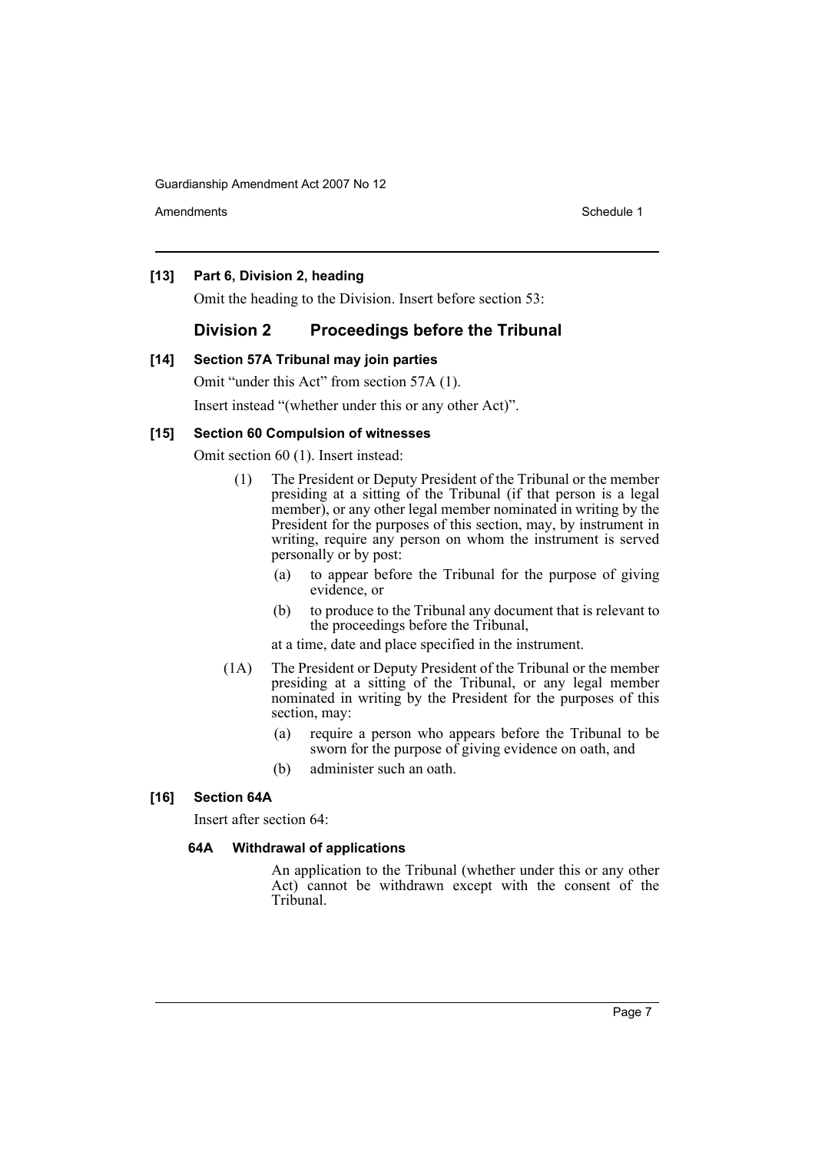Amendments **Amendments** Schedule 1

## **[13] Part 6, Division 2, heading**

Omit the heading to the Division. Insert before section 53:

# **Division 2 Proceedings before the Tribunal**

#### **[14] Section 57A Tribunal may join parties**

Omit "under this Act" from section 57A (1).

Insert instead "(whether under this or any other Act)".

#### **[15] Section 60 Compulsion of witnesses**

Omit section 60 (1). Insert instead:

- (1) The President or Deputy President of the Tribunal or the member presiding at a sitting of the Tribunal (if that person is a legal member), or any other legal member nominated in writing by the President for the purposes of this section, may, by instrument in writing, require any person on whom the instrument is served personally or by post:
	- (a) to appear before the Tribunal for the purpose of giving evidence, or
	- (b) to produce to the Tribunal any document that is relevant to the proceedings before the Tribunal,
	- at a time, date and place specified in the instrument.
- (1A) The President or Deputy President of the Tribunal or the member presiding at a sitting of the Tribunal, or any legal member nominated in writing by the President for the purposes of this section, may:
	- (a) require a person who appears before the Tribunal to be sworn for the purpose of giving evidence on oath, and
	- (b) administer such an oath.

#### **[16] Section 64A**

Insert after section 64:

#### **64A Withdrawal of applications**

An application to the Tribunal (whether under this or any other Act) cannot be withdrawn except with the consent of the Tribunal.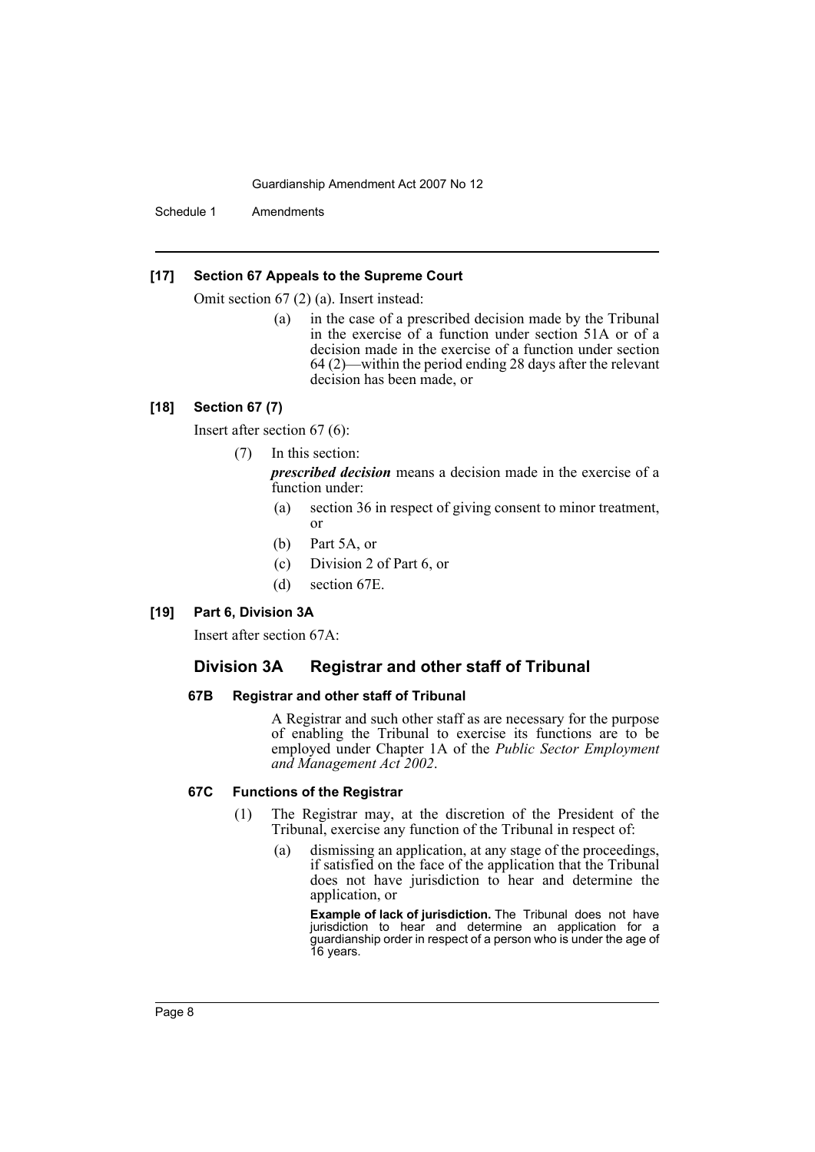Schedule 1 Amendments

#### **[17] Section 67 Appeals to the Supreme Court**

Omit section 67 (2) (a). Insert instead:

(a) in the case of a prescribed decision made by the Tribunal in the exercise of a function under section 51A or of a decision made in the exercise of a function under section 64 (2)—within the period ending 28 days after the relevant decision has been made, or

# **[18] Section 67 (7)**

Insert after section 67 (6):

#### (7) In this section:

*prescribed decision* means a decision made in the exercise of a function under:

- (a) section 36 in respect of giving consent to minor treatment, or
- (b) Part 5A, or
- (c) Division 2 of Part 6, or
- (d) section 67E.

#### **[19] Part 6, Division 3A**

Insert after section 67A:

# **Division 3A Registrar and other staff of Tribunal**

# **67B Registrar and other staff of Tribunal**

A Registrar and such other staff as are necessary for the purpose of enabling the Tribunal to exercise its functions are to be employed under Chapter 1A of the *Public Sector Employment and Management Act 2002*.

#### **67C Functions of the Registrar**

- (1) The Registrar may, at the discretion of the President of the Tribunal, exercise any function of the Tribunal in respect of:
	- (a) dismissing an application, at any stage of the proceedings, if satisfied on the face of the application that the Tribunal does not have jurisdiction to hear and determine the application, or

**Example of lack of jurisdiction.** The Tribunal does not have jurisdiction to hear and determine an application for a guardianship order in respect of a person who is under the age of 16 years.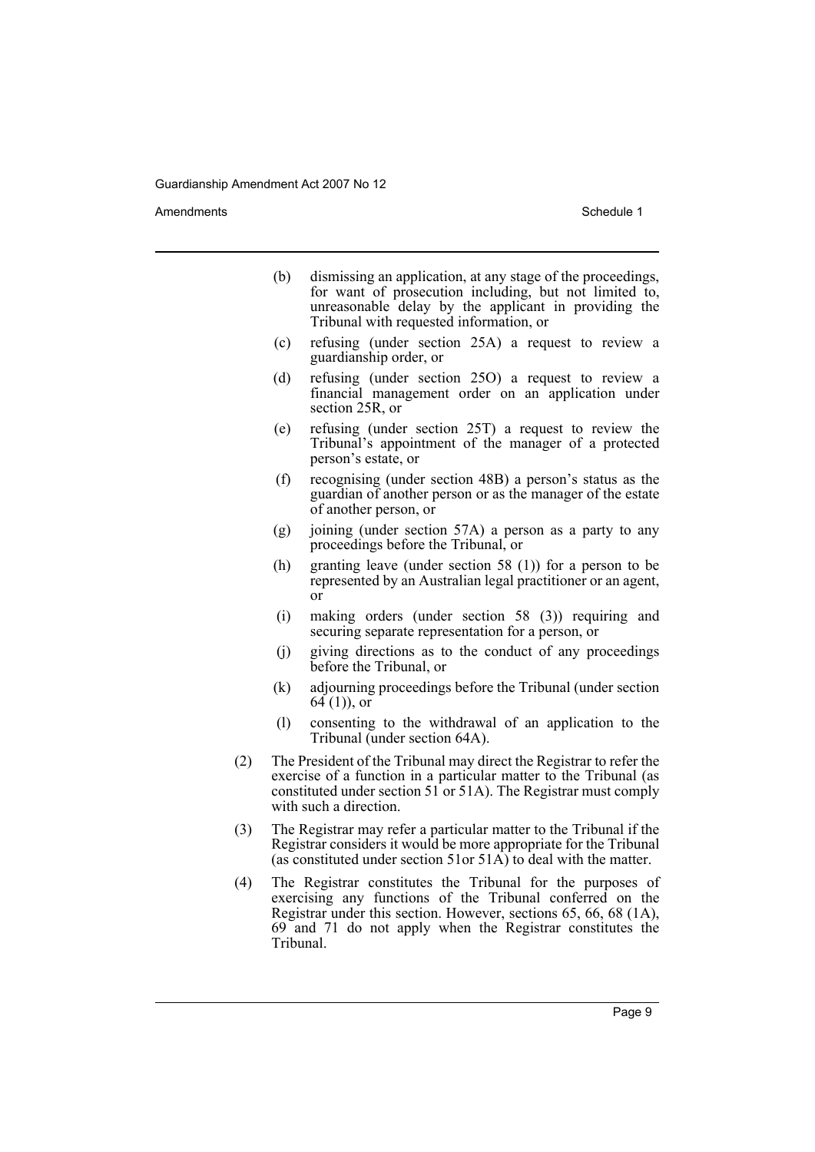Amendments **Amendments** Schedule 1

- (b) dismissing an application, at any stage of the proceedings, for want of prosecution including, but not limited to, unreasonable delay by the applicant in providing the Tribunal with requested information, or
- (c) refusing (under section 25A) a request to review a guardianship order, or
- (d) refusing (under section 25O) a request to review a financial management order on an application under section 25R, or
- (e) refusing (under section 25T) a request to review the Tribunal's appointment of the manager of a protected person's estate, or
- (f) recognising (under section 48B) a person's status as the guardian of another person or as the manager of the estate of another person, or
- (g) joining (under section 57A) a person as a party to any proceedings before the Tribunal, or
- (h) granting leave (under section 58 (1)) for a person to be represented by an Australian legal practitioner or an agent, or
- (i) making orders (under section 58 (3)) requiring and securing separate representation for a person, or
- (j) giving directions as to the conduct of any proceedings before the Tribunal, or
- (k) adjourning proceedings before the Tribunal (under section  $64(1)$ , or
- (l) consenting to the withdrawal of an application to the Tribunal (under section 64A).
- (2) The President of the Tribunal may direct the Registrar to refer the exercise of a function in a particular matter to the Tribunal (as constituted under section 51 or 51A). The Registrar must comply with such a direction.
- (3) The Registrar may refer a particular matter to the Tribunal if the Registrar considers it would be more appropriate for the Tribunal (as constituted under section 51or 51 $\widehat{A}$ ) to deal with the matter.
- (4) The Registrar constitutes the Tribunal for the purposes of exercising any functions of the Tribunal conferred on the Registrar under this section. However, sections 65, 66, 68 (1A), 69 and 71 do not apply when the Registrar constitutes the Tribunal.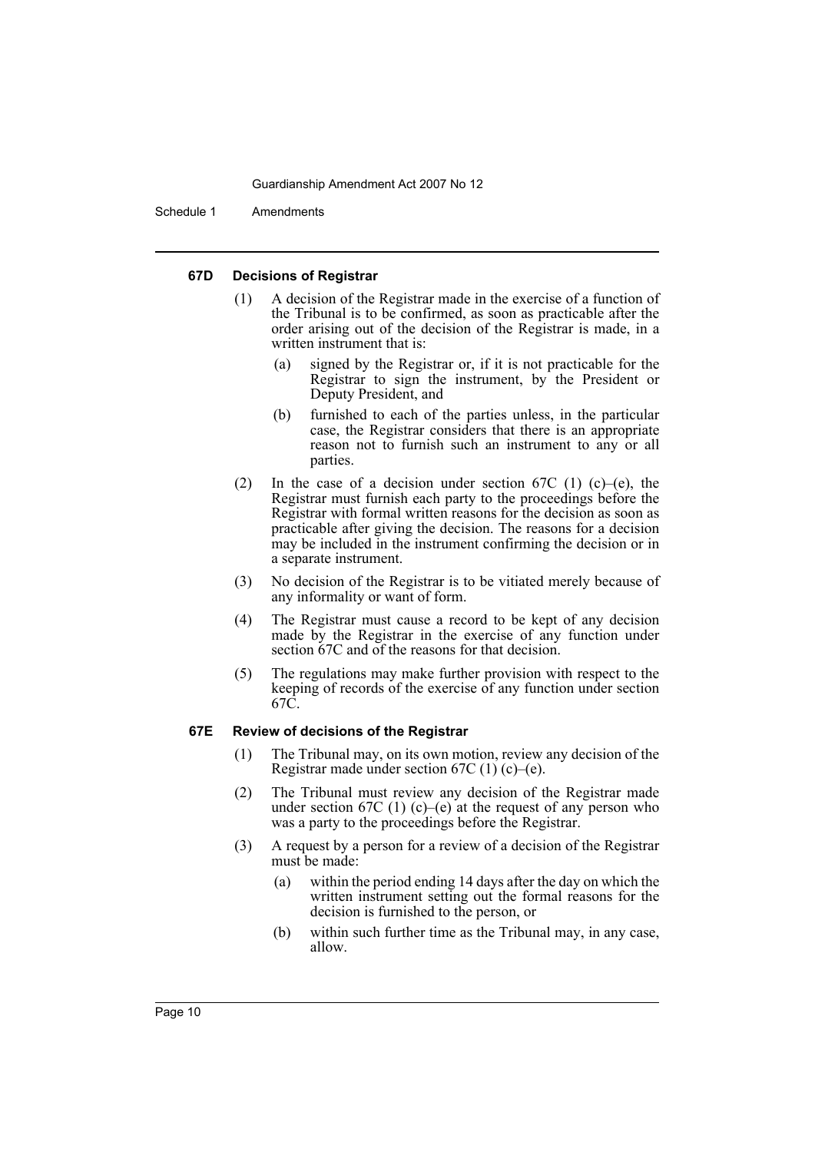Schedule 1 Amendments

#### **67D Decisions of Registrar**

- (1) A decision of the Registrar made in the exercise of a function of the Tribunal is to be confirmed, as soon as practicable after the order arising out of the decision of the Registrar is made, in a written instrument that is:
	- (a) signed by the Registrar or, if it is not practicable for the Registrar to sign the instrument, by the President or Deputy President, and
	- (b) furnished to each of the parties unless, in the particular case, the Registrar considers that there is an appropriate reason not to furnish such an instrument to any or all parties.
- (2) In the case of a decision under section 67C (1) (c)–(e), the Registrar must furnish each party to the proceedings before the Registrar with formal written reasons for the decision as soon as practicable after giving the decision. The reasons for a decision may be included in the instrument confirming the decision or in a separate instrument.
- (3) No decision of the Registrar is to be vitiated merely because of any informality or want of form.
- (4) The Registrar must cause a record to be kept of any decision made by the Registrar in the exercise of any function under section 67C and of the reasons for that decision.
- (5) The regulations may make further provision with respect to the keeping of records of the exercise of any function under section 67C.

#### **67E Review of decisions of the Registrar**

- (1) The Tribunal may, on its own motion, review any decision of the Registrar made under section  $67C(1)(c)$ –(e).
- (2) The Tribunal must review any decision of the Registrar made under section 67C (1) (c)–(e) at the request of any person who was a party to the proceedings before the Registrar.
- (3) A request by a person for a review of a decision of the Registrar must be made:
	- (a) within the period ending 14 days after the day on which the written instrument setting out the formal reasons for the decision is furnished to the person, or
	- (b) within such further time as the Tribunal may, in any case, allow.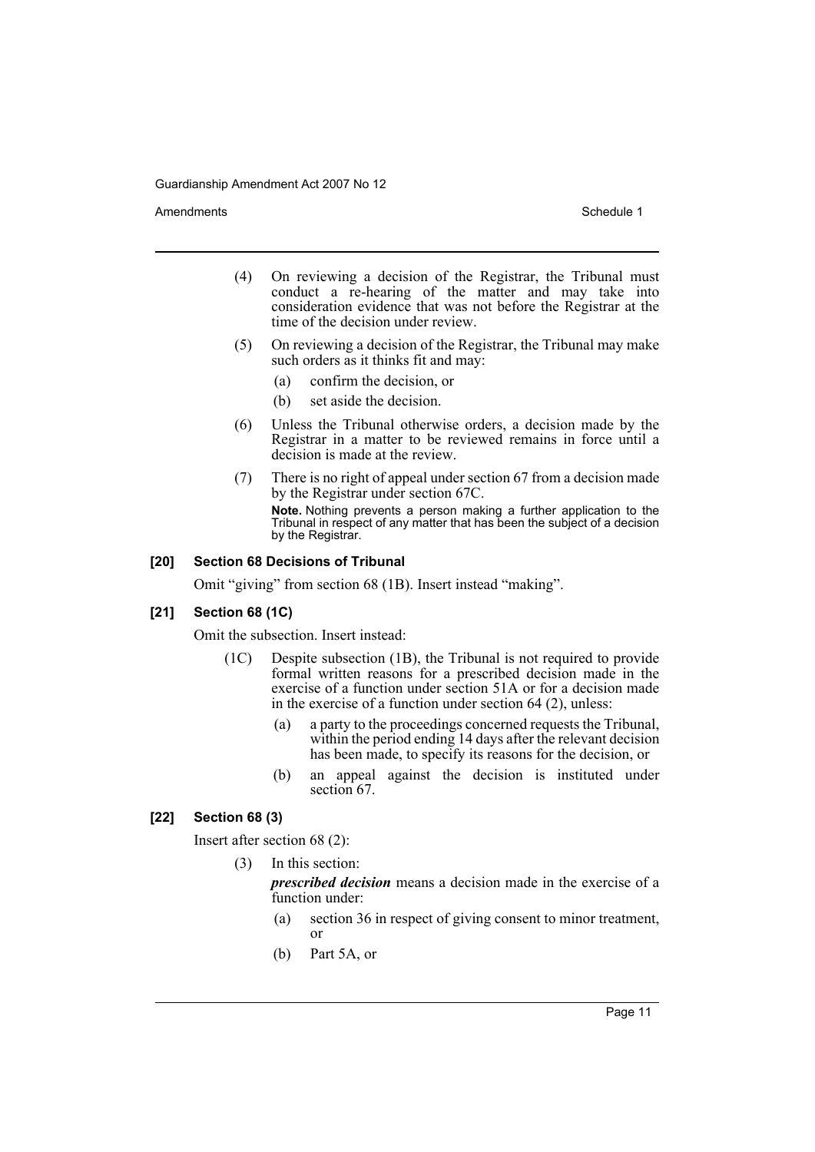Amendments **Amendments** Schedule 1

- (4) On reviewing a decision of the Registrar, the Tribunal must conduct a re-hearing of the matter and may take into consideration evidence that was not before the Registrar at the time of the decision under review.
- (5) On reviewing a decision of the Registrar, the Tribunal may make such orders as it thinks fit and may:
	- (a) confirm the decision, or
	- (b) set aside the decision.
- (6) Unless the Tribunal otherwise orders, a decision made by the Registrar in a matter to be reviewed remains in force until a decision is made at the review.
- (7) There is no right of appeal under section 67 from a decision made by the Registrar under section 67C. **Note.** Nothing prevents a person making a further application to the Tribunal in respect of any matter that has been the subject of a decision by the Registrar.

# **[20] Section 68 Decisions of Tribunal**

Omit "giving" from section 68 (1B). Insert instead "making".

#### **[21] Section 68 (1C)**

Omit the subsection. Insert instead:

- (1C) Despite subsection (1B), the Tribunal is not required to provide formal written reasons for a prescribed decision made in the exercise of a function under section 51A or for a decision made in the exercise of a function under section 64 (2), unless:
	- (a) a party to the proceedings concerned requests the Tribunal, within the period ending 14 days after the relevant decision has been made, to specify its reasons for the decision, or
	- (b) an appeal against the decision is instituted under section 67.

# **[22] Section 68 (3)**

Insert after section 68 (2):

(3) In this section:

*prescribed decision* means a decision made in the exercise of a function under:

- (a) section 36 in respect of giving consent to minor treatment, or
- (b) Part 5A, or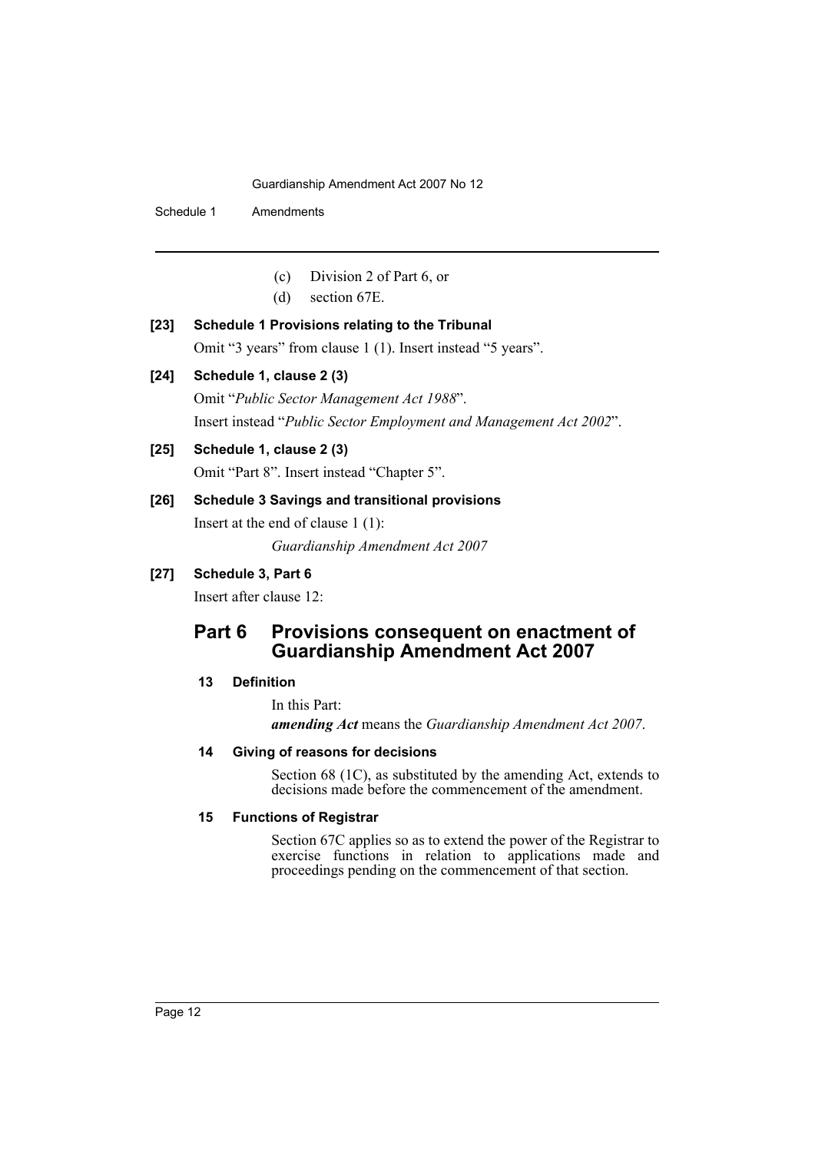Schedule 1 Amendments

- (c) Division 2 of Part 6, or
- (d) section 67E.

# **[23] Schedule 1 Provisions relating to the Tribunal**

Omit "3 years" from clause 1 (1). Insert instead "5 years".

# **[24] Schedule 1, clause 2 (3)**

Omit "*Public Sector Management Act 1988*". Insert instead "*Public Sector Employment and Management Act 2002*".

# **[25] Schedule 1, clause 2 (3)**

Omit "Part 8". Insert instead "Chapter 5".

## **[26] Schedule 3 Savings and transitional provisions**

Insert at the end of clause 1 (1): *Guardianship Amendment Act 2007*

# **[27] Schedule 3, Part 6**

Insert after clause 12:

# **Part 6 Provisions consequent on enactment of Guardianship Amendment Act 2007**

# **13 Definition**

In this Part:

*amending Act* means the *Guardianship Amendment Act 2007*.

# **14 Giving of reasons for decisions**

Section 68 (1C), as substituted by the amending Act, extends to decisions made before the commencement of the amendment.

# **15 Functions of Registrar**

Section 67C applies so as to extend the power of the Registrar to exercise functions in relation to applications made and proceedings pending on the commencement of that section.